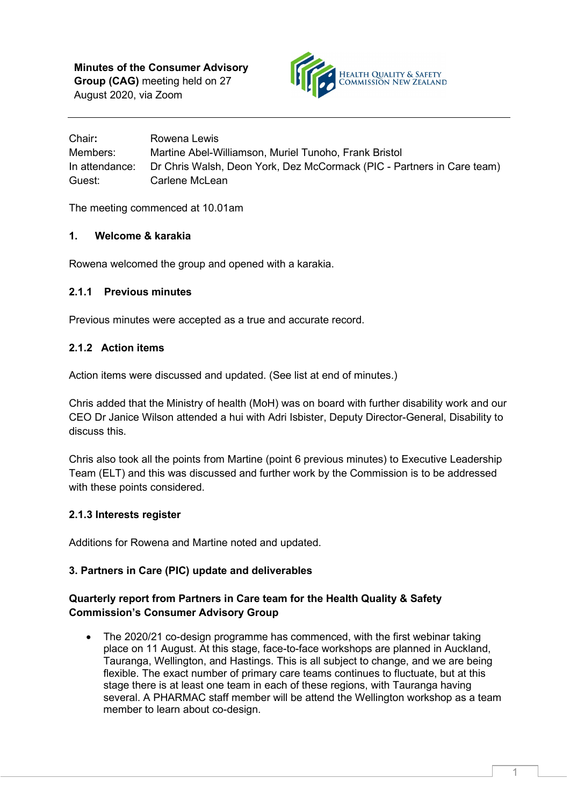**Minutes of the Consumer Advisory Group (CAG)** meeting held on 27 August 2020, via Zoom



Chair**:** Rowena Lewis Members: Martine Abel-Williamson, Muriel Tunoho, Frank Bristol In attendance: Dr Chris Walsh, Deon York, Dez McCormack (PIC - Partners in Care team) Guest: Carlene McLean

The meeting commenced at 10.01am

### **1. Welcome & karakia**

Rowena welcomed the group and opened with a karakia.

### **2.1.1 Previous minutes**

Previous minutes were accepted as a true and accurate record.

### **2.1.2 Action items**

Action items were discussed and updated. (See list at end of minutes.)

Chris added that the Ministry of health (MoH) was on board with further disability work and our CEO Dr Janice Wilson attended a hui with Adri Isbister, [Deputy Director-General, Disability](https://www.health.govt.nz/about-ministry/leadership-ministry/executive-leadership-team#adri) to discuss this.

Chris also took all the points from Martine (point 6 previous minutes) to Executive Leadership Team (ELT) and this was discussed and further work by the Commission is to be addressed with these points considered.

### **2.1.3 Interests register**

Additions for Rowena and Martine noted and updated.

### **3. Partners in Care (PIC) update and deliverables**

### **Quarterly report from Partners in Care team for the Health Quality & Safety Commission's Consumer Advisory Group**

• The 2020/21 co-design programme has commenced, with the first webinar taking place on 11 August. At this stage, face-to-face workshops are planned in Auckland, Tauranga, Wellington, and Hastings. This is all subject to change, and we are being flexible. The exact number of primary care teams continues to fluctuate, but at this stage there is at least one team in each of these regions, with Tauranga having several. A PHARMAC staff member will be attend the Wellington workshop as a team member to learn about co-design.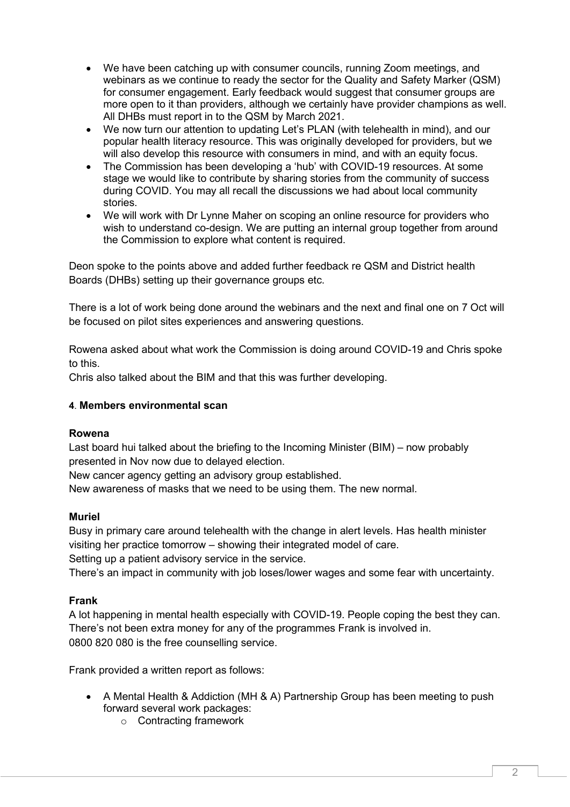- We have been catching up with consumer councils, running Zoom meetings, and webinars as we continue to ready the sector for the Quality and Safety Marker (QSM) for consumer engagement. Early feedback would suggest that consumer groups are more open to it than providers, although we certainly have provider champions as well. All DHBs must report in to the QSM by March 2021.
- We now turn our attention to updating Let's PLAN (with telehealth in mind), and our popular health literacy resource. This was originally developed for providers, but we will also develop this resource with consumers in mind, and with an equity focus.
- The Commission has been developing a 'hub' with COVID-19 resources. At some stage we would like to contribute by sharing stories from the community of success during COVID. You may all recall the discussions we had about local community stories.
- We will work with Dr Lynne Maher on scoping an online resource for providers who wish to understand co-design. We are putting an internal group together from around the Commission to explore what content is required.

Deon spoke to the points above and added further feedback re QSM and District health Boards (DHBs) setting up their governance groups etc.

There is a lot of work being done around the webinars and the next and final one on 7 Oct will be focused on pilot sites experiences and answering questions.

Rowena asked about what work the Commission is doing around COVID-19 and Chris spoke to this.

Chris also talked about the BIM and that this was further developing.

### **4**. **Members environmental scan**

### **Rowena**

Last board hui talked about the briefing to the Incoming Minister (BIM) – now probably presented in Nov now due to delayed election.

New cancer agency getting an advisory group established.

New awareness of masks that we need to be using them. The new normal.

### **Muriel**

Busy in primary care around telehealth with the change in alert levels. Has health minister visiting her practice tomorrow – showing their integrated model of care.

Setting up a patient advisory service in the service.

There's an impact in community with job loses/lower wages and some fear with uncertainty.

### **Frank**

A lot happening in mental health especially with COVID-19. People coping the best they can. There's not been extra money for any of the programmes Frank is involved in. 0800 820 080 is the free counselling service.

Frank provided a written report as follows:

- A Mental Health & Addiction (MH & A) Partnership Group has been meeting to push forward several work packages:
	- o Contracting framework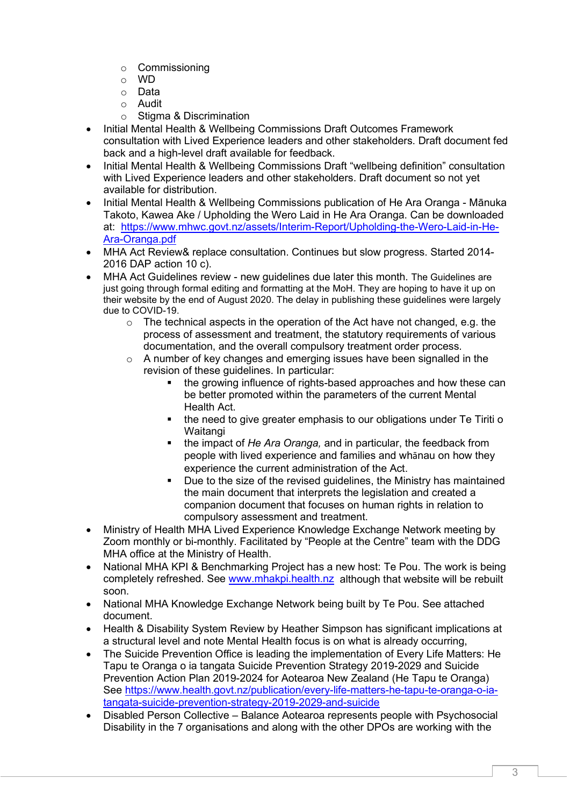- o Commissioning
- o WD
- o Data
- o Audit<br>∩ Stiam
- Stigma & Discrimination
- Initial Mental Health & Wellbeing Commissions Draft Outcomes Framework consultation with Lived Experience leaders and other stakeholders. Draft document fed back and a high-level draft available for feedback.
- Initial Mental Health & Wellbeing Commissions Draft "wellbeing definition" consultation with Lived Experience leaders and other stakeholders. Draft document so not yet available for distribution.
- Initial Mental Health & Wellbeing Commissions publication of He Ara Oranga Mānuka Takoto, Kawea Ake / Upholding the Wero Laid in He Ara Oranga. Can be downloaded at: [https://www.mhwc.govt.nz/assets/Interim-Report/Upholding-the-Wero-Laid-in-He-](https://www.mhwc.govt.nz/assets/Interim-Report/Upholding-the-Wero-Laid-in-He-Ara-Oranga.pdf)[Ara-Oranga.pdf](https://www.mhwc.govt.nz/assets/Interim-Report/Upholding-the-Wero-Laid-in-He-Ara-Oranga.pdf)
- MHA Act Review& replace consultation. Continues but slow progress. Started 2014- 2016 DAP action 10 c).
- MHA Act Guidelines review new guidelines due later this month. The Guidelines are just going through formal editing and formatting at the MoH. They are hoping to have it up on their website by the end of August 2020. The delay in publishing these guidelines were largely due to COVID-19.
	- $\circ$  The technical aspects in the operation of the Act have not changed, e.g. the process of assessment and treatment, the statutory requirements of various documentation, and the overall compulsory treatment order process.
	- $\circ$  A number of key changes and emerging issues have been signalled in the revision of these guidelines. In particular:
		- the growing influence of rights-based approaches and how these can be better promoted within the parameters of the current Mental Health Act.
		- the need to give greater emphasis to our obligations under Te Tiriti o **Waitangi**
		- the impact of He Ara Oranga, and in particular, the feedback from people with lived experience and families and whānau on how they experience the current administration of the Act.
		- Due to the size of the revised guidelines, the Ministry has maintained the main document that interprets the legislation and created a companion document that focuses on human rights in relation to compulsory assessment and treatment.
- Ministry of Health MHA Lived Experience Knowledge Exchange Network meeting by Zoom monthly or bi-monthly. Facilitated by "People at the Centre" team with the DDG MHA office at the Ministry of Health.
- National MHA KPI & Benchmarking Project has a new host: Te Pou. The work is being completely refreshed. See [www.mhakpi.health.nz](http://www.mhakpi.health.nz/) although that website will be rebuilt soon.
- National MHA Knowledge Exchange Network being built by Te Pou. See attached document.
- Health & Disability System Review by Heather Simpson has significant implications at a structural level and note Mental Health focus is on what is already occurring,
- The Suicide Prevention Office is leading the implementation of Every Life Matters: He Tapu te Oranga o ia tangata Suicide Prevention Strategy 2019-2029 and Suicide Prevention Action Plan 2019-2024 for Aotearoa New Zealand (He Tapu te Oranga) See [https://www.health.govt.nz/publication/every-life-matters-he-tapu-te-oranga-o-ia](https://www.health.govt.nz/publication/every-life-matters-he-tapu-te-oranga-o-ia-tangata-suicide-prevention-strategy-2019-2029-and-suicide)[tangata-suicide-prevention-strategy-2019-2029-and-suicide](https://www.health.govt.nz/publication/every-life-matters-he-tapu-te-oranga-o-ia-tangata-suicide-prevention-strategy-2019-2029-and-suicide)
- Disabled Person Collective Balance Aotearoa represents people with Psychosocial Disability in the 7 organisations and along with the other DPOs are working with the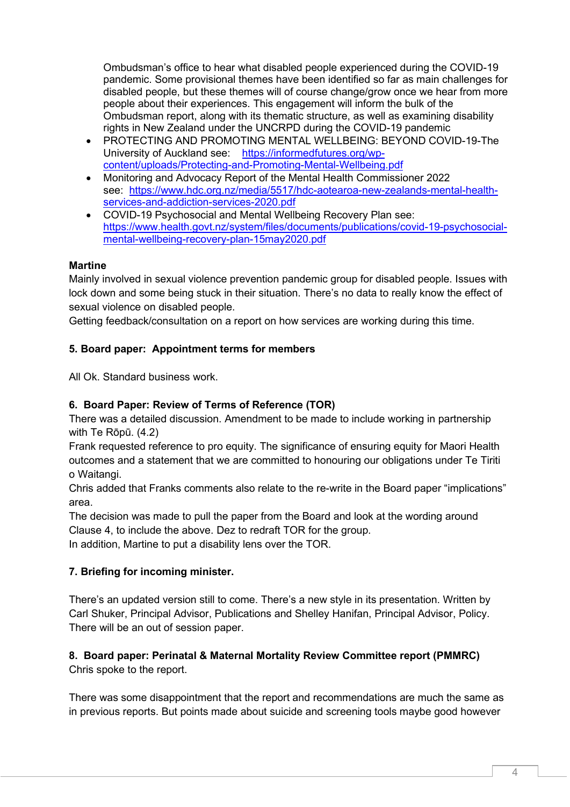Ombudsman's office to hear what disabled people experienced during the COVID-19 pandemic. Some provisional themes have been identified so far as main challenges for disabled people, but these themes will of course change/grow once we hear from more people about their experiences. This engagement will inform the bulk of the Ombudsman report, along with its thematic structure, as well as examining disability rights in New Zealand under the UNCRPD during the COVID-19 pandemic

- PROTECTING AND PROMOTING MENTAL WELLBEING: BEYOND COVID-19-The University of Auckland see: [https://informedfutures.org/wp](https://informedfutures.org/wp-content/uploads/Protecting-and-Promoting-Mental-Wellbeing.pdf)[content/uploads/Protecting-and-Promoting-Mental-Wellbeing.pdf](https://informedfutures.org/wp-content/uploads/Protecting-and-Promoting-Mental-Wellbeing.pdf)
- Monitoring and Advocacy Report of the Mental Health Commissioner 2022 see: [https://www.hdc.org.nz/media/5517/hdc-aotearoa-new-zealands-mental-health](https://www.hdc.org.nz/media/5517/hdc-aotearoa-new-zealands-mental-health-services-and-addiction-services-2020.pdf)[services-and-addiction-services-2020.pdf](https://www.hdc.org.nz/media/5517/hdc-aotearoa-new-zealands-mental-health-services-and-addiction-services-2020.pdf)
- COVID-19 Psychosocial and Mental Wellbeing Recovery Plan see: [https://www.health.govt.nz/system/files/documents/publications/covid-19-psychosocial](https://www.health.govt.nz/system/files/documents/publications/covid-19-psychosocial-mental-wellbeing-recovery-plan-15may2020.pdf)[mental-wellbeing-recovery-plan-15may2020.pdf](https://www.health.govt.nz/system/files/documents/publications/covid-19-psychosocial-mental-wellbeing-recovery-plan-15may2020.pdf)

## **Martine**

Mainly involved in sexual violence prevention pandemic group for disabled people. Issues with lock down and some being stuck in their situation. There's no data to really know the effect of sexual violence on disabled people.

Getting feedback/consultation on a report on how services are working during this time.

# **5. Board paper: Appointment terms for members**

All Ok. Standard business work.

# **6. Board Paper: Review of Terms of Reference (TOR)**

There was a detailed discussion. Amendment to be made to include working in partnership with Te Rōpū. (4.2)

Frank requested reference to pro equity. The significance of ensuring equity for Maori Health outcomes and a statement that we are committed to honouring our obligations under Te Tiriti o Waitangi.

Chris added that Franks comments also relate to the re-write in the Board paper "implications" area.

The decision was made to pull the paper from the Board and look at the wording around Clause 4, to include the above. Dez to redraft TOR for the group.

In addition, Martine to put a disability lens over the TOR.

# **7. Briefing for incoming minister.**

There's an updated version still to come. There's a new style in its presentation. Written by Carl Shuker, Principal Advisor, Publications and Shelley Hanifan, Principal Advisor, Policy. There will be an out of session paper.

## **8. Board paper: Perinatal & Maternal Mortality Review Committee report (PMMRC)** Chris spoke to the report.

There was some disappointment that the report and recommendations are much the same as in previous reports. But points made about suicide and screening tools maybe good however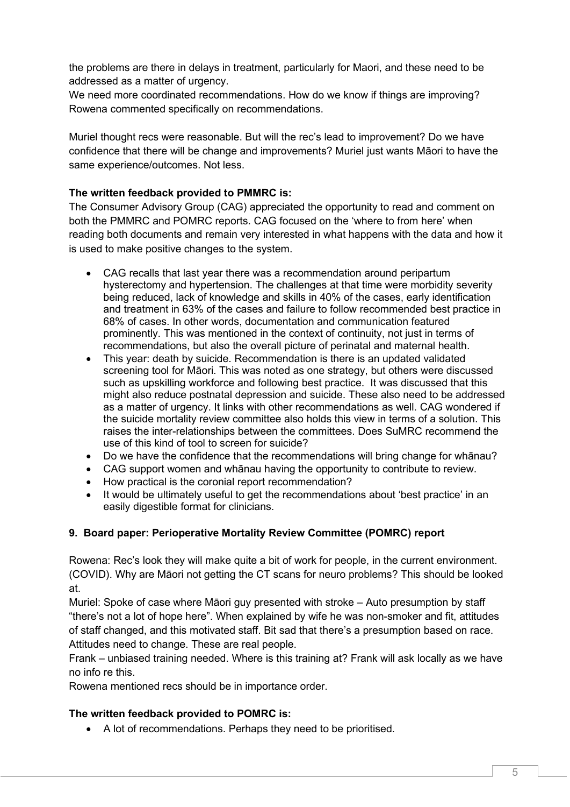the problems are there in delays in treatment, particularly for Maori, and these need to be addressed as a matter of urgency.

We need more coordinated recommendations. How do we know if things are improving? Rowena commented specifically on recommendations.

Muriel thought recs were reasonable. But will the rec's lead to improvement? Do we have confidence that there will be change and improvements? Muriel just wants Māori to have the same experience/outcomes. Not less.

### **The written feedback provided to PMMRC is:**

The Consumer Advisory Group (CAG) appreciated the opportunity to read and comment on both the PMMRC and POMRC reports. CAG focused on the 'where to from here' when reading both documents and remain very interested in what happens with the data and how it is used to make positive changes to the system.

- CAG recalls that last year there was a recommendation around peripartum hysterectomy and hypertension. The challenges at that time were morbidity severity being reduced, lack of knowledge and skills in 40% of the cases, early identification and treatment in 63% of the cases and failure to follow recommended best practice in 68% of cases. In other words, documentation and communication featured prominently. This was mentioned in the context of continuity, not just in terms of recommendations, but also the overall picture of perinatal and maternal health.
- This year: death by suicide. Recommendation is there is an updated validated screening tool for Māori. This was noted as one strategy, but others were discussed such as upskilling workforce and following best practice. It was discussed that this might also reduce postnatal depression and suicide. These also need to be addressed as a matter of urgency. It links with other recommendations as well. CAG wondered if the suicide mortality review committee also holds this view in terms of a solution. This raises the inter-relationships between the committees. Does SuMRC recommend the use of this kind of tool to screen for suicide?
- Do we have the confidence that the recommendations will bring change for whānau?
- CAG support women and whānau having the opportunity to contribute to review.
- How practical is the coronial report recommendation?
- It would be ultimately useful to get the recommendations about 'best practice' in an easily digestible format for clinicians.

### **9. Board paper: Perioperative Mortality Review Committee (POMRC) report**

Rowena: Rec's look they will make quite a bit of work for people, in the current environment. (COVID). Why are Māori not getting the CT scans for neuro problems? This should be looked at.

Muriel: Spoke of case where Māori guy presented with stroke – Auto presumption by staff "there's not a lot of hope here". When explained by wife he was non-smoker and fit, attitudes of staff changed, and this motivated staff. Bit sad that there's a presumption based on race. Attitudes need to change. These are real people.

Frank – unbiased training needed. Where is this training at? Frank will ask locally as we have no info re this.

Rowena mentioned recs should be in importance order.

### **The written feedback provided to POMRC is:**

• A lot of recommendations. Perhaps they need to be prioritised.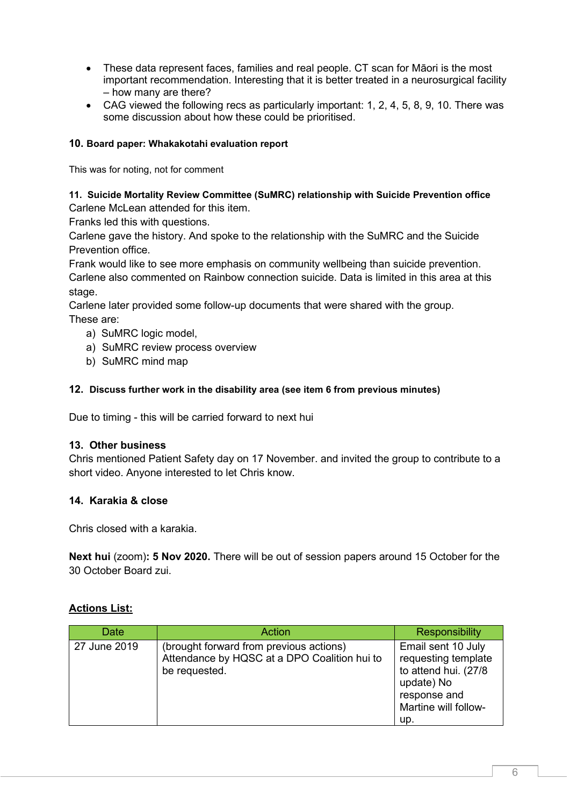- These data represent faces, families and real people. CT scan for Māori is the most important recommendation. Interesting that it is better treated in a neurosurgical facility – how many are there?
- CAG viewed the following recs as particularly important: 1, 2, 4, 5, 8, 9, 10. There was some discussion about how these could be prioritised.

### **10. Board paper: Whakakotahi evaluation report**

This was for noting, not for comment

#### **11. Suicide Mortality Review Committee (SuMRC) relationship with Suicide Prevention office** Carlene McLean attended for this item.

Franks led this with questions.

Carlene gave the history. And spoke to the relationship with the SuMRC and the Suicide Prevention office.

Frank would like to see more emphasis on community wellbeing than suicide prevention. Carlene also commented on Rainbow connection suicide. Data is limited in this area at this stage.

Carlene later provided some follow-up documents that were shared with the group. These are:

- a) SuMRC logic model,
- a) SuMRC review process overview
- b) SuMRC mind map

### **12. Discuss further work in the disability area (see item 6 from previous minutes)**

Due to timing - this will be carried forward to next hui

### **13. Other business**

Chris mentioned Patient Safety day on 17 November. and invited the group to contribute to a short video. Anyone interested to let Chris know.

### **14. Karakia & close**

Chris closed with a karakia.

**Next hui** (zoom)**: 5 Nov 2020.** There will be out of session papers around 15 October for the 30 October Board zui.

### **Actions List:**

| Date         | Action                                                                                                   | <b>Responsibility</b>                                                                                                          |
|--------------|----------------------------------------------------------------------------------------------------------|--------------------------------------------------------------------------------------------------------------------------------|
| 27 June 2019 | (brought forward from previous actions)<br>Attendance by HQSC at a DPO Coalition hui to<br>be requested. | Email sent 10 July<br>requesting template<br>to attend hui. (27/8<br>update) No<br>response and<br>Martine will follow-<br>up. |